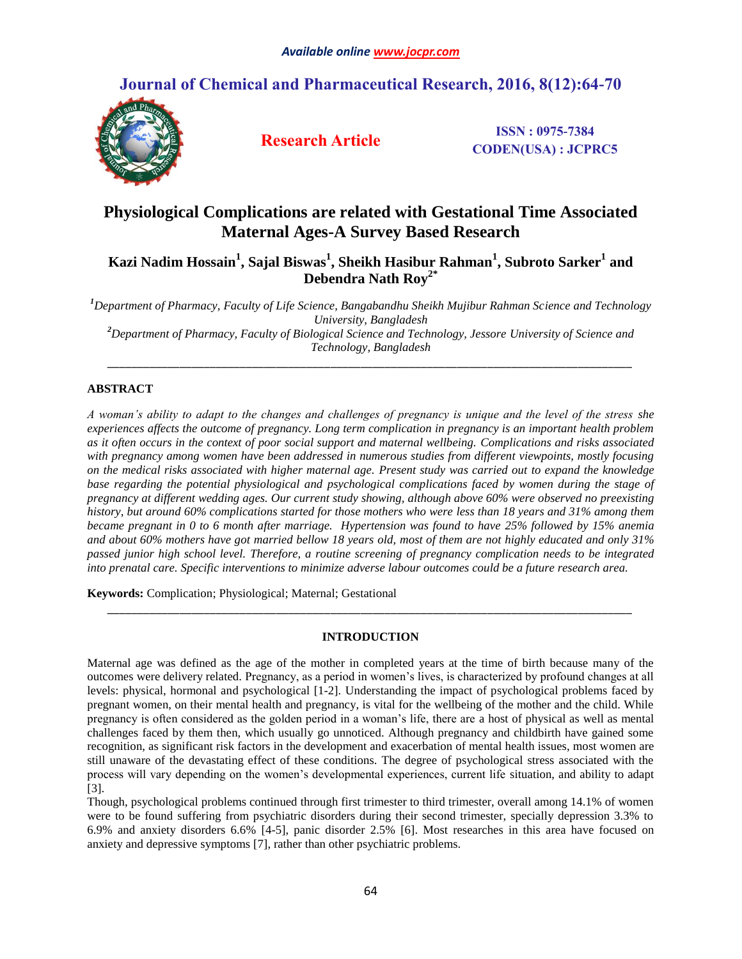# **Journal of Chemical and Pharmaceutical Research, 2016, 8(12):64-70**



**Research Article ISSN : 0975-7384 CODEN(USA) : JCPRC5**

# **Physiological Complications are related with Gestational Time Associated Maternal Ages-A Survey Based Research**

 $\bold{Kazi}$  Nadim Hossain $^1$ , Sajal Biswas $^1$ , Sheikh Hasibur Rahman $^1$ , Subroto Sarker $^1$  and **Debendra Nath Roy2\***

*<sup>1</sup>Department of Pharmacy, Faculty of Life Science, Bangabandhu Sheikh Mujibur Rahman Science and Technology University, Bangladesh*

*<sup>2</sup>Department of Pharmacy, Faculty of Biological Science and Technology, Jessore University of Science and Technology, Bangladesh \_\_\_\_\_\_\_\_\_\_\_\_\_\_\_\_\_\_\_\_\_\_\_\_\_\_\_\_\_\_\_\_\_\_\_\_\_\_\_\_\_\_\_\_\_\_\_\_\_\_\_\_\_\_\_\_\_\_\_\_\_\_\_\_\_\_\_\_\_\_\_\_\_\_\_\_\_\_\_\_\_\_\_\_\_\_\_*

## **ABSTRACT**

*A woman's ability to adapt to the changes and challenges of pregnancy is unique and the level of the stress she experiences affects the outcome of pregnancy. Long term complication in pregnancy is an important health problem as it often occurs in the context of poor social support and maternal wellbeing. Complications and risks associated with pregnancy among women have been addressed in numerous studies from different viewpoints, mostly focusing on the medical risks associated with higher maternal age. Present study was carried out to expand the knowledge base regarding the potential physiological and psychological complications faced by women during the stage of pregnancy at different wedding ages. Our current study showing, although above 60% were observed no preexisting history, but around 60% complications started for those mothers who were less than 18 years and 31% among them became pregnant in 0 to 6 month after marriage. Hypertension was found to have 25% followed by 15% anemia and about 60% mothers have got married bellow 18 years old, most of them are not highly educated and only 31% passed junior high school level. Therefore, a routine screening of pregnancy complication needs to be integrated into prenatal care. Specific interventions to minimize adverse labour outcomes could be a future research area.*

**Keywords:** Complication; Physiological; Maternal; Gestational

## **INTRODUCTION**

*\_\_\_\_\_\_\_\_\_\_\_\_\_\_\_\_\_\_\_\_\_\_\_\_\_\_\_\_\_\_\_\_\_\_\_\_\_\_\_\_\_\_\_\_\_\_\_\_\_\_\_\_\_\_\_\_\_\_\_\_\_\_\_\_\_\_\_\_\_\_\_\_\_\_\_\_\_\_\_\_\_\_\_\_\_\_\_*

Maternal age was defined as the age of the mother in completed years at the time of birth because many of the outcomes were delivery related. Pregnancy, as a period in women's lives, is characterized by profound changes at all levels: physical, hormonal and psychological [1-2]. Understanding the impact of psychological problems faced by pregnant women, on their mental health and pregnancy, is vital for the wellbeing of the mother and the child. While pregnancy is often considered as the golden period in a woman's life, there are a host of physical as well as mental challenges faced by them then, which usually go unnoticed. Although pregnancy and childbirth have gained some recognition, as significant risk factors in the development and exacerbation of mental health issues, most women are still unaware of the devastating effect of these conditions. The degree of psychological stress associated with the process will vary depending on the women's developmental experiences, current life situation, and ability to adapt [3].

Though, psychological problems continued through first trimester to third trimester, overall among 14.1% of women were to be found suffering from psychiatric disorders during their second trimester, specially depression 3.3% to 6.9% and anxiety disorders 6.6% [4-5], panic disorder 2.5% [6]. Most researches in this area have focused on anxiety and depressive symptoms [7], rather than other psychiatric problems.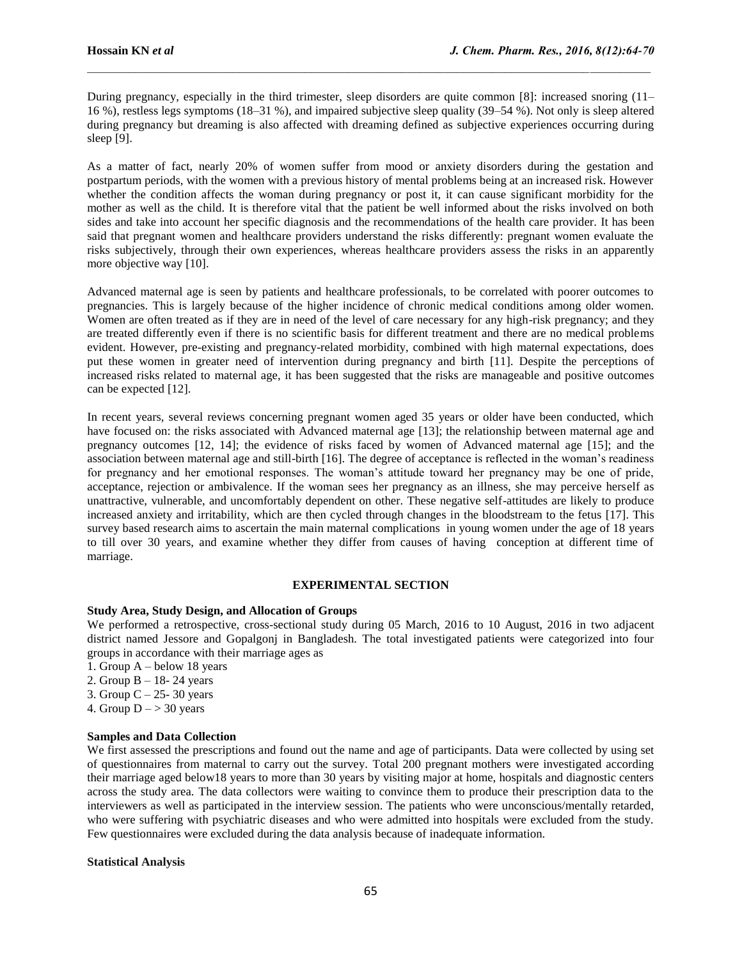During pregnancy, especially in the third trimester, sleep disorders are quite common [8]: increased snoring (11– 16 %), restless legs symptoms (18–31 %), and impaired subjective sleep quality (39–54 %). Not only is sleep altered during pregnancy but dreaming is also affected with dreaming defined as subjective experiences occurring during sleep [9].

As a matter of fact, nearly 20% of women suffer from mood or anxiety disorders during the gestation and postpartum periods, with the women with a previous history of mental problems being at an increased risk. However whether the condition affects the woman during pregnancy or post it, it can cause significant morbidity for the mother as well as the child. It is therefore vital that the patient be well informed about the risks involved on both sides and take into account her specific diagnosis and the recommendations of the health care provider. It has been said that pregnant women and healthcare providers understand the risks differently: pregnant women evaluate the risks subjectively, through their own experiences, whereas healthcare providers assess the risks in an apparently more objective way [10].

Advanced maternal age is seen by patients and healthcare professionals, to be correlated with poorer outcomes to pregnancies. This is largely because of the higher incidence of chronic medical conditions among older women. Women are often treated as if they are in need of the level of care necessary for any high-risk pregnancy; and they are treated differently even if there is no scientific basis for different treatment and there are no medical problems evident. However, pre-existing and pregnancy-related morbidity, combined with high maternal expectations, does put these women in greater need of intervention during pregnancy and birth [11]. Despite the perceptions of increased risks related to maternal age, it has been suggested that the risks are manageable and positive outcomes can be expected [12].

In recent years, several reviews concerning pregnant women aged 35 years or older have been conducted, which have focused on: the risks associated with Advanced maternal age [13]; the relationship between maternal age and pregnancy outcomes [12, 14]; the evidence of risks faced by women of Advanced maternal age [15]; and the association between maternal age and still-birth [16]. The degree of acceptance is reflected in the woman's readiness for pregnancy and her emotional responses. The woman's attitude toward her pregnancy may be one of pride, acceptance, rejection or ambivalence. If the woman sees her pregnancy as an illness, she may perceive herself as unattractive, vulnerable, and uncomfortably dependent on other. These negative self-attitudes are likely to produce increased anxiety and irritability, which are then cycled through changes in the bloodstream to the fetus [17]. This survey based research aims to ascertain the main maternal complications in young women under the age of 18 years to till over 30 years, and examine whether they differ from causes of having conception at different time of marriage.

#### **EXPERIMENTAL SECTION**

#### **Study Area, Study Design, and Allocation of Groups**

We performed a retrospective, cross-sectional study during 05 March, 2016 to 10 August, 2016 in two adjacent district named Jessore and Gopalgonj in Bangladesh. The total investigated patients were categorized into four groups in accordance with their marriage ages as

- 1. Group A below 18 years
- 2. Group B 18- 24 years
- 3. Group  $C 25 30$  years
- 4. Group  $D \rightarrow 30$  years

## **Samples and Data Collection**

We first assessed the prescriptions and found out the name and age of participants. Data were collected by using set of questionnaires from maternal to carry out the survey. Total 200 pregnant mothers were investigated according their marriage aged below18 years to more than 30 years by visiting major at home, hospitals and diagnostic centers across the study area. The data collectors were waiting to convince them to produce their prescription data to the interviewers as well as participated in the interview session. The patients who were unconscious/mentally retarded, who were suffering with psychiatric diseases and who were admitted into hospitals were excluded from the study. Few questionnaires were excluded during the data analysis because of inadequate information.

#### **Statistical Analysis**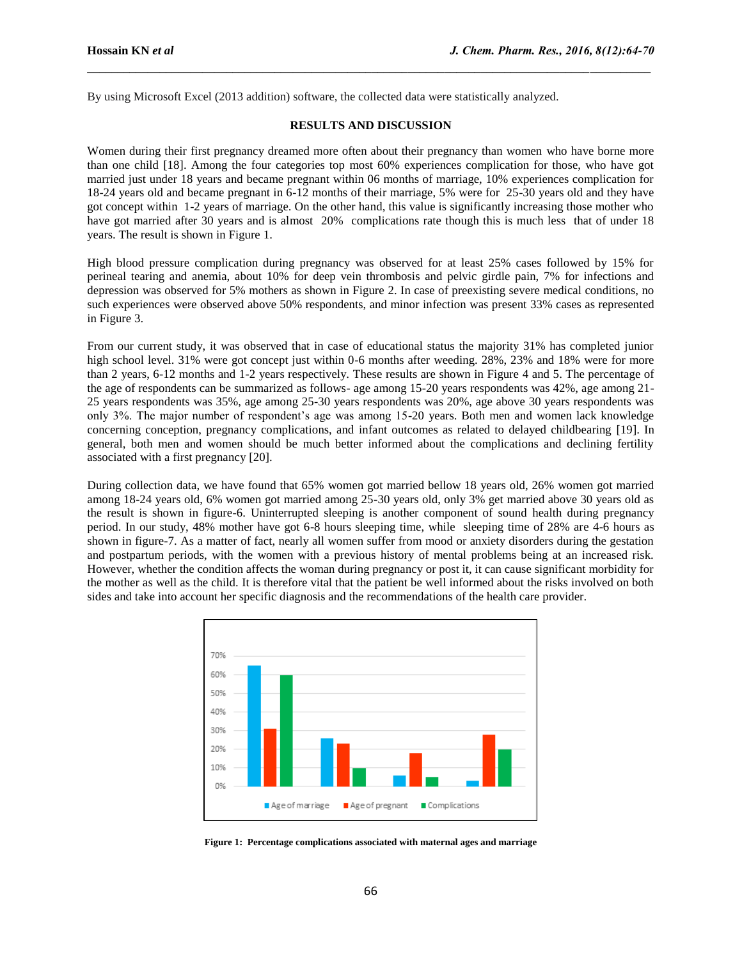By using Microsoft Excel (2013 addition) software, the collected data were statistically analyzed.

#### **RESULTS AND DISCUSSION**

Women during their first pregnancy dreamed more often about their pregnancy than women who have borne more than one child [18]. Among the four categories top most 60% experiences complication for those, who have got married just under 18 years and became pregnant within 06 months of marriage, 10% experiences complication for 18-24 years old and became pregnant in 6-12 months of their marriage, 5% were for 25-30 years old and they have got concept within 1-2 years of marriage. On the other hand, this value is significantly increasing those mother who have got married after 30 years and is almost 20% complications rate though this is much less that of under 18 years. The result is shown in Figure 1.

High blood pressure complication during pregnancy was observed for at least 25% cases followed by 15% for perineal tearing and anemia, about 10% for deep vein thrombosis and pelvic girdle pain, 7% for infections and depression was observed for 5% mothers as shown in Figure 2. In case of preexisting severe medical conditions, no such experiences were observed above 50% respondents, and minor infection was present 33% cases as represented in Figure 3.

From our current study, it was observed that in case of educational status the majority 31% has completed junior high school level. 31% were got concept just within 0-6 months after weeding. 28%, 23% and 18% were for more than 2 years, 6-12 months and 1-2 years respectively. These results are shown in Figure 4 and 5. The percentage of the age of respondents can be summarized as follows- age among 15-20 years respondents was 42%, age among 21- 25 years respondents was 35%, age among 25-30 years respondents was 20%, age above 30 years respondents was only 3%. The major number of respondent's age was among 15-20 years. Both men and women lack knowledge concerning conception, pregnancy complications, and infant outcomes as related to delayed childbearing [19]. In general, both men and women should be much better informed about the complications and declining fertility associated with a first pregnancy [20].

During collection data, we have found that 65% women got married bellow 18 years old, 26% women got married among 18-24 years old, 6% women got married among 25-30 years old, only 3% get married above 30 years old as the result is shown in figure-6. Uninterrupted sleeping is another component of sound health during pregnancy period. In our study, 48% mother have got 6-8 hours sleeping time, while sleeping time of 28% are 4-6 hours as shown in figure-7. As a matter of fact, nearly all women suffer from mood or anxiety disorders during the gestation and postpartum periods, with the women with a previous history of mental problems being at an increased risk. However, whether the condition affects the woman during pregnancy or post it, it can cause significant morbidity for the mother as well as the child. It is therefore vital that the patient be well informed about the risks involved on both sides and take into account her specific diagnosis and the recommendations of the health care provider.



**Figure 1: Percentage complications associated with maternal ages and marriage**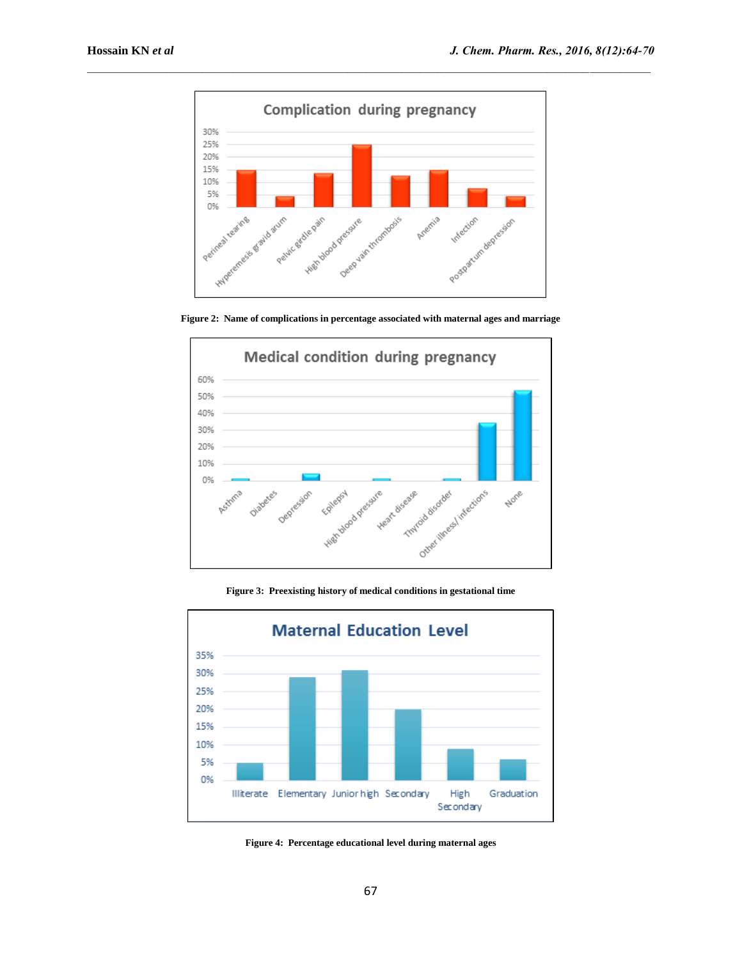

**Figure 2: Name of complications in percentage associated with maternal ages and marriage**



**Figure 3: Preexisting history of medical conditions in gestational time**



**Figure 4: Percentage educational level during maternal ages**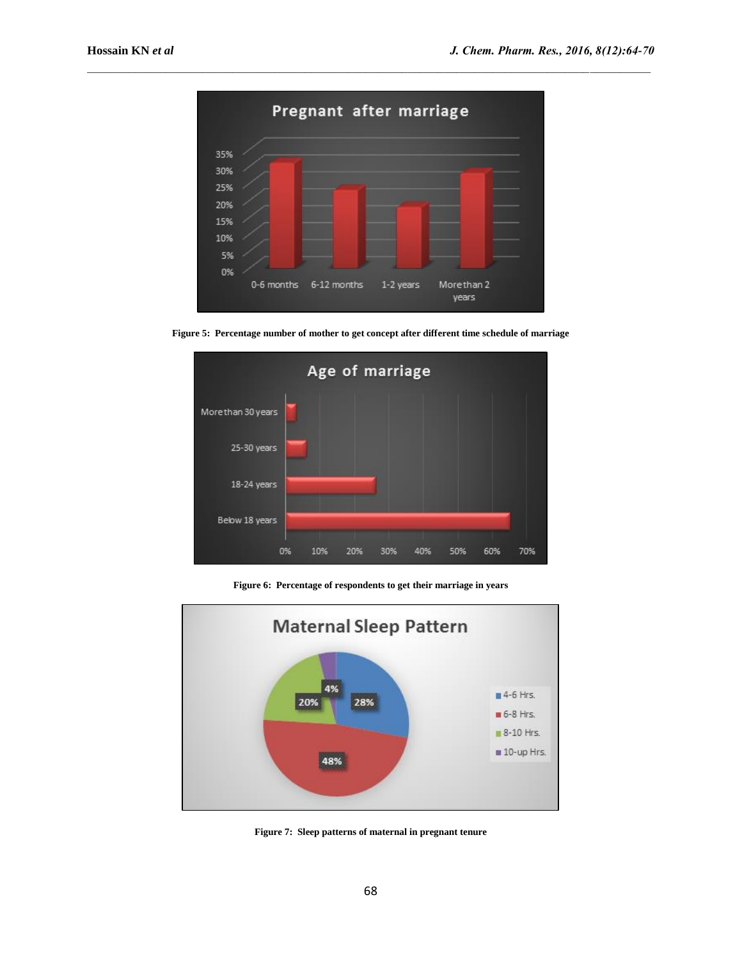

**Figure 5: Percentage number of mother to get concept after different time schedule of marriage**



**Figure 6: Percentage of respondents to get their marriage in years**



**Figure 7: Sleep patterns of maternal in pregnant tenure**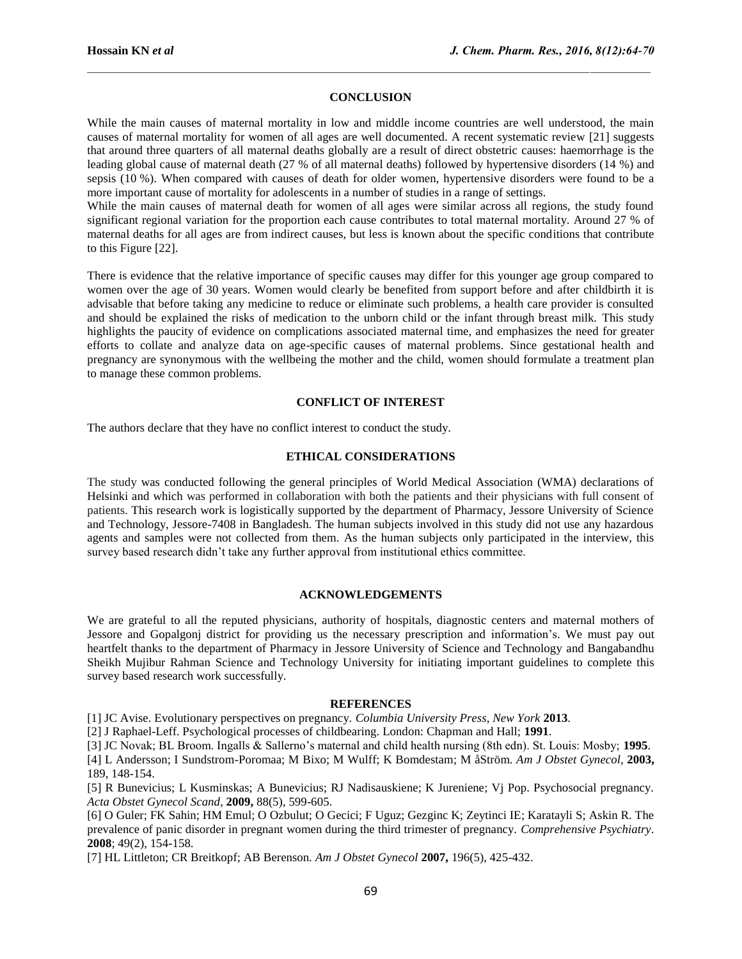## **CONCLUSION**

While the main causes of maternal mortality in low and middle income countries are well understood, the main causes of maternal mortality for women of all ages are well documented. A recent systematic review [21] suggests that around three quarters of all maternal deaths globally are a result of direct obstetric causes: haemorrhage is the leading global cause of maternal death (27 % of all maternal deaths) followed by hypertensive disorders (14 %) and sepsis (10 %). When compared with causes of death for older women, hypertensive disorders were found to be a more important cause of mortality for adolescents in a number of studies in a range of settings.

While the main causes of maternal death for women of all ages were similar across all regions, the study found significant regional variation for the proportion each cause contributes to total maternal mortality. Around 27 % of maternal deaths for all ages are from indirect causes, but less is known about the specific conditions that contribute to this Figure [22].

There is evidence that the relative importance of specific causes may differ for this younger age group compared to women over the age of 30 years. Women would clearly be benefited from support before and after childbirth it is advisable that before taking any medicine to reduce or eliminate such problems, a health care provider is consulted and should be explained the risks of medication to the unborn child or the infant through breast milk. This study highlights the paucity of evidence on complications associated maternal time, and emphasizes the need for greater efforts to collate and analyze data on age-specific causes of maternal problems. Since gestational health and pregnancy are synonymous with the wellbeing the mother and the child, women should formulate a treatment plan to manage these common problems.

### **CONFLICT OF INTEREST**

The authors declare that they have no conflict interest to conduct the study.

### **ETHICAL CONSIDERATIONS**

The study was conducted following the general principles of World Medical Association (WMA) declarations of Helsinki and which was performed in collaboration with both the patients and their physicians with full consent of patients. This research work is logistically supported by the department of Pharmacy, Jessore University of Science and Technology, Jessore-7408 in Bangladesh. The human subjects involved in this study did not use any hazardous agents and samples were not collected from them. As the human subjects only participated in the interview, this survey based research didn't take any further approval from institutional ethics committee.

#### **ACKNOWLEDGEMENTS**

We are grateful to all the reputed physicians, authority of hospitals, diagnostic centers and maternal mothers of Jessore and Gopalgonj district for providing us the necessary prescription and information's. We must pay out heartfelt thanks to the department of Pharmacy in Jessore University of Science and Technology and Bangabandhu Sheikh Mujibur Rahman Science and Technology University for initiating important guidelines to complete this survey based research work successfully.

#### **REFERENCES**

[1] JC Avise. Evolutionary perspectives on pregnancy. *Columbia University Press*, *New York* **2013**.

[2] J Raphael-Leff. Psychological processes of childbearing. London: Chapman and Hall; **1991**.

[3] JC Novak; BL Broom. Ingalls & Sallerno's maternal and child health nursing (8th edn). St. Louis: Mosby; **1995**.

[4] L Andersson; I Sundstrom-Poromaa; M Bixo; M Wulff; K Bomdestam; M åStröm. *Am J Obstet Gynecol,* **2003,** 189, 148-154.

[5] R Bunevicius; L Kusminskas; A Bunevicius; RJ Nadisauskiene; K Jureniene; Vj Pop. Psychosocial pregnancy. *Acta Obstet Gynecol Scand*, **2009,** 88(5), 599-605.

[6] O Guler; FK Sahin; HM Emul; O Ozbulut; O Gecici; F Uguz; Gezginc K; Zeytinci IE; Karatayli S; Askin R. The prevalence of panic disorder in pregnant women during the third trimester of pregnancy. *Comprehensive Psychiatry*. **2008**; 49(2), 154-158.

[7] HL Littleton; CR Breitkopf; AB Berenson. *Am J Obstet Gynecol* **2007,** 196(5), 425-432.